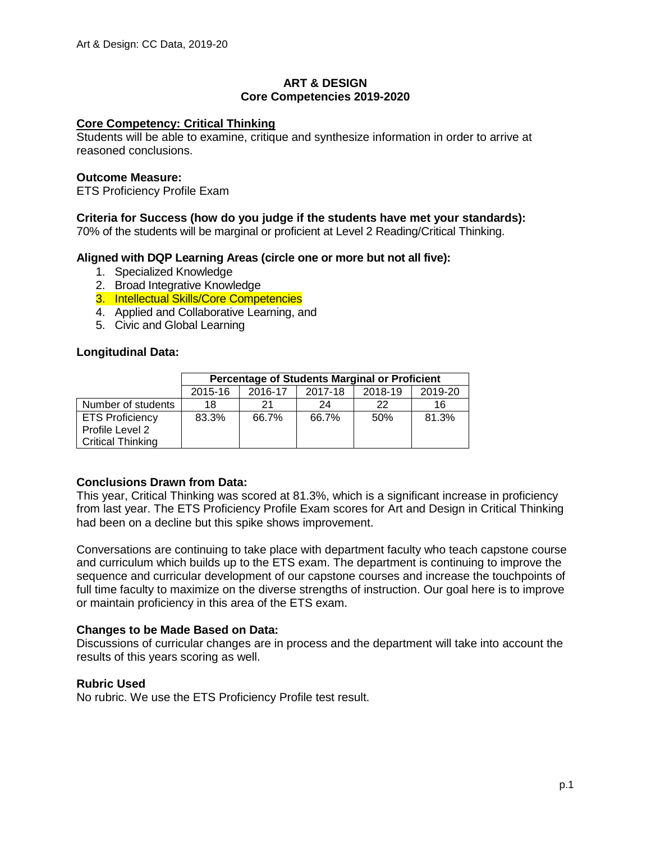## **ART & DESIGN Core Competencies 2019-2020**

### **Core Competency: Critical Thinking**

Students will be able to examine, critique and synthesize information in order to arrive at reasoned conclusions.

### **Outcome Measure:**

ETS Proficiency Profile Exam

## **Criteria for Success (how do you judge if the students have met your standards):**

70% of the students will be marginal or proficient at Level 2 Reading/Critical Thinking.

## **Aligned with DQP Learning Areas (circle one or more but not all five):**

- 1. Specialized Knowledge
- 2. Broad Integrative Knowledge
- 3. Intellectual Skills/Core Competencies
- 4. Applied and Collaborative Learning, and
- 5. Civic and Global Learning

#### **Longitudinal Data:**

|                          | <b>Percentage of Students Marginal or Proficient</b> |         |         |         |         |  |  |
|--------------------------|------------------------------------------------------|---------|---------|---------|---------|--|--|
|                          | 2015-16                                              | 2016-17 | 2017-18 | 2018-19 | 2019-20 |  |  |
| Number of students       | 18                                                   | 21      | 24      | 22      | 16      |  |  |
| <b>ETS Proficiency</b>   | 83.3%                                                | 66.7%   | 66.7%   | 50%     | 81.3%   |  |  |
| Profile Level 2          |                                                      |         |         |         |         |  |  |
| <b>Critical Thinking</b> |                                                      |         |         |         |         |  |  |

# **Conclusions Drawn from Data:**

This year, Critical Thinking was scored at 81.3%, which is a significant increase in proficiency from last year. The ETS Proficiency Profile Exam scores for Art and Design in Critical Thinking had been on a decline but this spike shows improvement.

Conversations are continuing to take place with department faculty who teach capstone course and curriculum which builds up to the ETS exam. The department is continuing to improve the sequence and curricular development of our capstone courses and increase the touchpoints of full time faculty to maximize on the diverse strengths of instruction. Our goal here is to improve or maintain proficiency in this area of the ETS exam.

# **Changes to be Made Based on Data:**

Discussions of curricular changes are in process and the department will take into account the results of this years scoring as well.

# **Rubric Used**

No rubric. We use the ETS Proficiency Profile test result.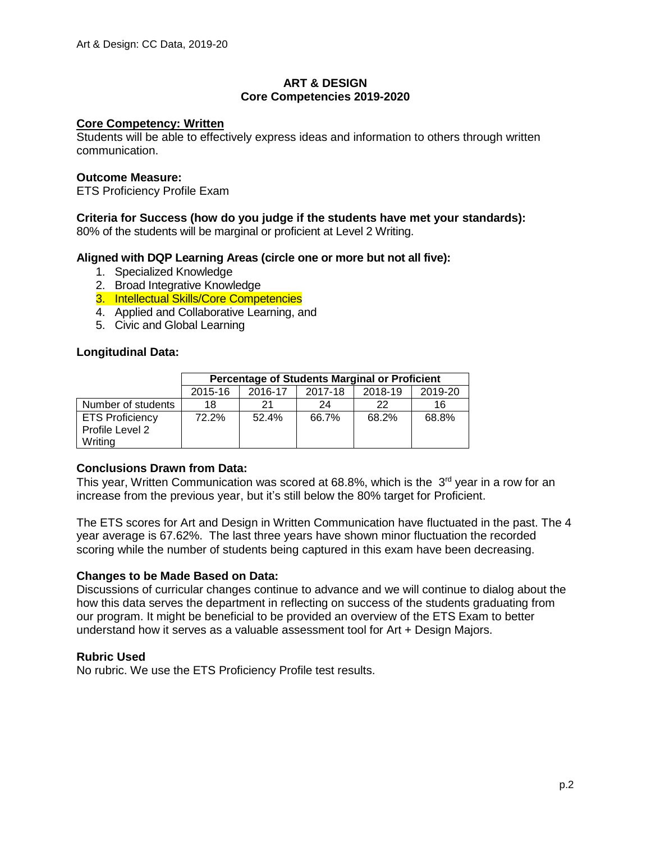## **ART & DESIGN Core Competencies 2019-2020**

### **Core Competency: Written**

Students will be able to effectively express ideas and information to others through written communication.

### **Outcome Measure:**

ETS Proficiency Profile Exam

#### **Criteria for Success (how do you judge if the students have met your standards):**

80% of the students will be marginal or proficient at Level 2 Writing.

## **Aligned with DQP Learning Areas (circle one or more but not all five):**

- 1. Specialized Knowledge
- 2. Broad Integrative Knowledge
- 3. Intellectual Skills/Core Competencies
- 4. Applied and Collaborative Learning, and
- 5. Civic and Global Learning

#### **Longitudinal Data:**

|                        | <b>Percentage of Students Marginal or Proficient</b> |         |         |         |         |  |  |
|------------------------|------------------------------------------------------|---------|---------|---------|---------|--|--|
|                        | 2015-16                                              | 2016-17 | 2017-18 | 2018-19 | 2019-20 |  |  |
| Number of students     | 18                                                   | 21      | 24      | 22      | 16      |  |  |
| <b>ETS Proficiency</b> | 72.2%                                                | 52.4%   | 66.7%   | 68.2%   | 68.8%   |  |  |
| Profile Level 2        |                                                      |         |         |         |         |  |  |
| Writing                |                                                      |         |         |         |         |  |  |

# **Conclusions Drawn from Data:**

This year, Written Communication was scored at 68.8%, which is the  $3<sup>rd</sup>$  year in a row for an increase from the previous year, but it's still below the 80% target for Proficient.

The ETS scores for Art and Design in Written Communication have fluctuated in the past. The 4 year average is 67.62%. The last three years have shown minor fluctuation the recorded scoring while the number of students being captured in this exam have been decreasing.

#### **Changes to be Made Based on Data:**

Discussions of curricular changes continue to advance and we will continue to dialog about the how this data serves the department in reflecting on success of the students graduating from our program. It might be beneficial to be provided an overview of the ETS Exam to better understand how it serves as a valuable assessment tool for Art + Design Majors.

#### **Rubric Used**

No rubric. We use the ETS Proficiency Profile test results.